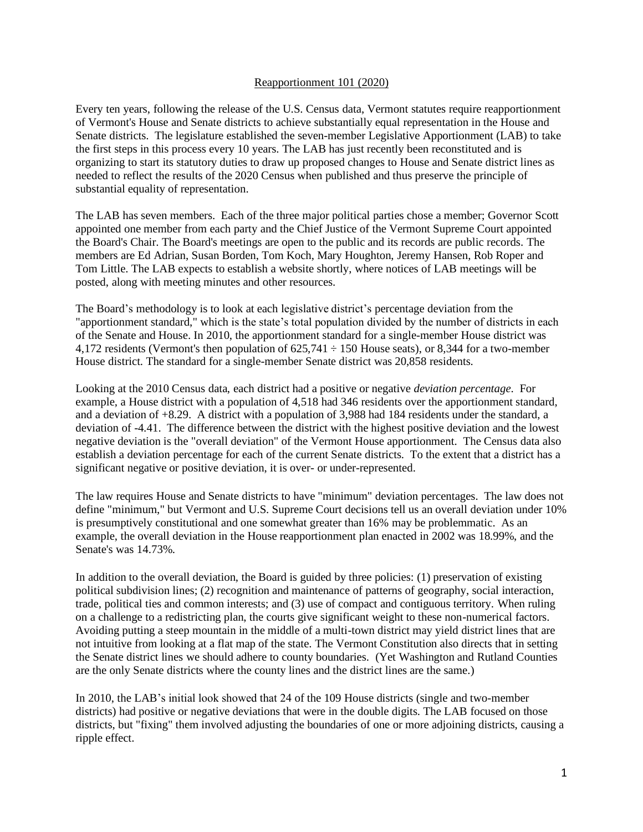## Reapportionment 101 (2020)

Every ten years, following the release of the U.S. Census data, Vermont statutes require reapportionment of Vermont's House and Senate districts to achieve substantially equal representation in the House and Senate districts. The legislature established the seven-member Legislative Apportionment (LAB) to take the first steps in this process every 10 years. The LAB has just recently been reconstituted and is organizing to start its statutory duties to draw up proposed changes to House and Senate district lines as needed to reflect the results of the 2020 Census when published and thus preserve the principle of substantial equality of representation.

The LAB has seven members. Each of the three major political parties chose a member; Governor Scott appointed one member from each party and the Chief Justice of the Vermont Supreme Court appointed the Board's Chair. The Board's meetings are open to the public and its records are public records. The members are Ed Adrian, Susan Borden, Tom Koch, Mary Houghton, Jeremy Hansen, Rob Roper and Tom Little. The LAB expects to establish a website shortly, where notices of LAB meetings will be posted, along with meeting minutes and other resources.

The Board's methodology is to look at each legislative district's percentage deviation from the "apportionment standard," which is the state's total population divided by the number of districts in each of the Senate and House. In 2010, the apportionment standard for a single-member House district was 4,172 residents (Vermont's then population of 625,741 ÷ 150 House seats), or 8,344 for a two-member House district. The standard for a single-member Senate district was 20,858 residents.

Looking at the 2010 Census data, each district had a positive or negative *deviation percentage*. For example, a House district with a population of 4,518 had 346 residents over the apportionment standard, and a deviation of +8.29. A district with a population of 3,988 had 184 residents under the standard, a deviation of -4.41. The difference between the district with the highest positive deviation and the lowest negative deviation is the "overall deviation" of the Vermont House apportionment. The Census data also establish a deviation percentage for each of the current Senate districts. To the extent that a district has a significant negative or positive deviation, it is over- or under-represented.

The law requires House and Senate districts to have "minimum" deviation percentages. The law does not define "minimum," but Vermont and U.S. Supreme Court decisions tell us an overall deviation under 10% is presumptively constitutional and one somewhat greater than 16% may be problemmatic. As an example, the overall deviation in the House reapportionment plan enacted in 2002 was 18.99%, and the Senate's was 14.73%.

In addition to the overall deviation, the Board is guided by three policies: (1) preservation of existing political subdivision lines; (2) recognition and maintenance of patterns of geography, social interaction, trade, political ties and common interests; and (3) use of compact and contiguous territory. When ruling on a challenge to a redistricting plan, the courts give significant weight to these non-numerical factors. Avoiding putting a steep mountain in the middle of a multi-town district may yield district lines that are not intuitive from looking at a flat map of the state. The Vermont Constitution also directs that in setting the Senate district lines we should adhere to county boundaries. (Yet Washington and Rutland Counties are the only Senate districts where the county lines and the district lines are the same.)

In 2010, the LAB's initial look showed that 24 of the 109 House districts (single and two-member districts) had positive or negative deviations that were in the double digits. The LAB focused on those districts, but "fixing" them involved adjusting the boundaries of one or more adjoining districts, causing a ripple effect.